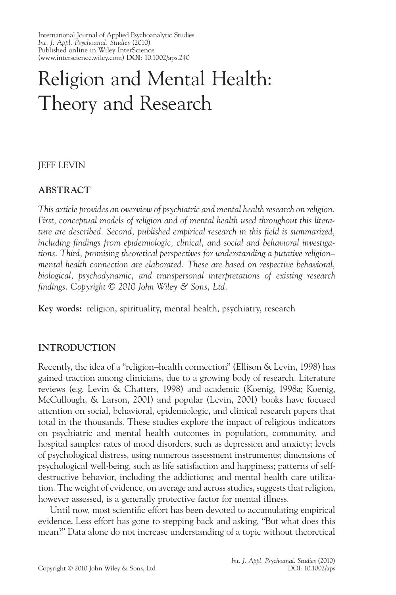International Journal of Applied Psychoanalytic Studies *Int. J. Appl. Psychoanal. Studies* (2010) Published online in Wiley InterScience (www.interscience.wiley.com) **DOI**: 10.1002/aps.240

# Religion and Mental Health: Theory and Research

## JEFF LEVIN

## **ABSTRACT**

*This article provides an overview of psychiatric and mental health research on religion. First, conceptual models of religion and of mental health used throughout this litera*ture are described. Second, published empirical research in this field is summarized, including findings from epidemiologic, clinical, and social and behavioral investiga*tions. Third, promising theoretical perspectives for understanding a putative religion– mental health connection are elaborated. These are based on respective behavioral, biological, psychodynamic, and transpersonal interpretations of existing research fi ndings. Copyright © 2010 John Wiley & Sons, Ltd.*

**Key words:** religion, spirituality, mental health, psychiatry, research

#### **INTRODUCTION**

Recently, the idea of a "religion–health connection" (Ellison & Levin, 1998) has gained traction among clinicians, due to a growing body of research. Literature reviews (e.g. Levin & Chatters, 1998) and academic (Koenig, 1998a; Koenig, McCullough, & Larson, 2001) and popular (Levin, 2001) books have focused attention on social, behavioral, epidemiologic, and clinical research papers that total in the thousands. These studies explore the impact of religious indicators on psychiatric and mental health outcomes in population, community, and hospital samples: rates of mood disorders, such as depression and anxiety; levels of psychological distress, using numerous assessment instruments; dimensions of psychological well-being, such as life satisfaction and happiness; patterns of selfdestructive behavior, including the addictions; and mental health care utilization. The weight of evidence, on average and across studies, suggests that religion, however assessed, is a generally protective factor for mental illness.

Until now, most scientific effort has been devoted to accumulating empirical evidence. Less effort has gone to stepping back and asking, "But what does this mean?" Data alone do not increase understanding of a topic without theoretical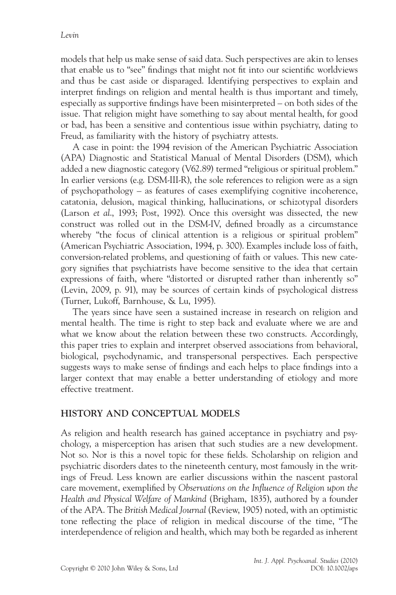models that help us make sense of said data. Such perspectives are akin to lenses that enable us to "see" findings that might not fit into our scientific worldviews and thus be cast aside or disparaged. Identifying perspectives to explain and interpret findings on religion and mental health is thus important and timely, especially as supportive findings have been misinterpreted – on both sides of the issue. That religion might have something to say about mental health, for good or bad, has been a sensitive and contentious issue within psychiatry, dating to Freud, as familiarity with the history of psychiatry attests.

A case in point: the 1994 revision of the American Psychiatric Association (APA) Diagnostic and Statistical Manual of Mental Disorders (DSM), which added a new diagnostic category (V62.89) termed "religious or spiritual problem." In earlier versions (e.g. DSM-III-R), the sole references to religion were as a sign of psychopathology – as features of cases exemplifying cognitive incoherence, catatonia, delusion, magical thinking, hallucinations, or schizotypal disorders (Larson *et al*., 1993; Post, 1992). Once this oversight was dissected, the new construct was rolled out in the DSM-IV, defined broadly as a circumstance whereby "the focus of clinical attention is a religious or spiritual problem" (American Psychiatric Association, 1994, p. 300). Examples include loss of faith, conversion-related problems, and questioning of faith or values. This new category signifies that psychiatrists have become sensitive to the idea that certain expressions of faith, where "distorted or disrupted rather than inherently so" (Levin, 2009, p. 91), may be sources of certain kinds of psychological distress (Turner, Lukoff, Barnhouse, & Lu, 1995).

The years since have seen a sustained increase in research on religion and mental health. The time is right to step back and evaluate where we are and what we know about the relation between these two constructs. Accordingly, this paper tries to explain and interpret observed associations from behavioral, biological, psychodynamic, and transpersonal perspectives. Each perspective suggests ways to make sense of findings and each helps to place findings into a larger context that may enable a better understanding of etiology and more effective treatment.

#### **HISTORY AND CONCEPTUAL MODELS**

As religion and health research has gained acceptance in psychiatry and psychology, a misperception has arisen that such studies are a new development. Not so. Nor is this a novel topic for these fields. Scholarship on religion and psychiatric disorders dates to the nineteenth century, most famously in the writings of Freud. Less known are earlier discussions within the nascent pastoral care movement, exemplified by *Observations on the Influence of Religion upon the Health and Physical Welfare of Mankind* (Brigham, 1835), authored by a founder of the APA. The *British Medical Journal* (Review, 1905) noted, with an optimistic tone reflecting the place of religion in medical discourse of the time, "The interdependence of religion and health, which may both be regarded as inherent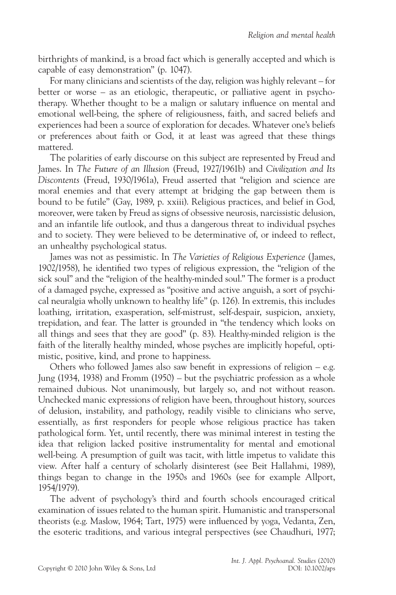birthrights of mankind, is a broad fact which is generally accepted and which is capable of easy demonstration" (p. 1047).

For many clinicians and scientists of the day, religion was highly relevant – for better or worse – as an etiologic, therapeutic, or palliative agent in psychotherapy. Whether thought to be a malign or salutary influence on mental and emotional well-being, the sphere of religiousness, faith, and sacred beliefs and experiences had been a source of exploration for decades. Whatever one's beliefs or preferences about faith or God, it at least was agreed that these things mattered.

The polarities of early discourse on this subject are represented by Freud and James. In *The Future of an Illusion* (Freud, 1927/1961b) and *Civilization and Its Discontents* (Freud, 1930/1961a), Freud asserted that "religion and science are moral enemies and that every attempt at bridging the gap between them is bound to be futile" (Gay, 1989, p. xxiii). Religious practices, and belief in God, moreover, were taken by Freud as signs of obsessive neurosis, narcissistic delusion, and an infantile life outlook, and thus a dangerous threat to individual psyches and to society. They were believed to be determinative of, or indeed to reflect, an unhealthy psychological status.

James was not as pessimistic. In *The Varieties of Religious Experience* (James, 1902/1958), he identified two types of religious expression, the "religion of the sick soul" and the "religion of the healthy-minded soul." The former is a product of a damaged psyche, expressed as "positive and active anguish, a sort of psychical neuralgia wholly unknown to healthy life" (p. 126). In extremis, this includes loathing, irritation, exasperation, self-mistrust, self-despair, suspicion, anxiety, trepidation, and fear. The latter is grounded in "the tendency which looks on all things and sees that they are good" (p. 83). Healthy-minded religion is the faith of the literally healthy minded, whose psyches are implicitly hopeful, optimistic, positive, kind, and prone to happiness.

Others who followed James also saw benefit in expressions of religion  $-$  e.g. Jung (1934, 1938) and Fromm (1950) – but the psychiatric profession as a whole remained dubious. Not unanimously, but largely so, and not without reason. Unchecked manic expressions of religion have been, throughout history, sources of delusion, instability, and pathology, readily visible to clinicians who serve, essentially, as first responders for people whose religious practice has taken pathological form. Yet, until recently, there was minimal interest in testing the idea that religion lacked positive instrumentality for mental and emotional well-being. A presumption of guilt was tacit, with little impetus to validate this view. After half a century of scholarly disinterest (see Beit Hallahmi, 1989), things began to change in the 1950s and 1960s (see for example Allport, 1954/1979).

The advent of psychology's third and fourth schools encouraged critical examination of issues related to the human spirit. Humanistic and transpersonal theorists (e.g. Maslow, 1964; Tart, 1975) were influenced by yoga, Vedanta, Zen, the esoteric traditions, and various integral perspectives (see Chaudhuri, 1977;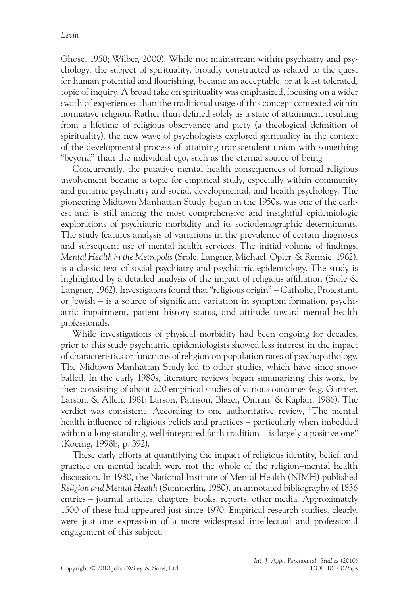Ghose, 1950; Wilber, 2000). While not mainstream within psychiatry and psychology, the subject of spirituality, broadly constructed as related to the quest for human potential and flourishing, became an acceptable, or at least tolerated, topic of inquiry. A broad take on spirituality was emphasized, focusing on a wider swath of experiences than the traditional usage of this concept contexted within normative religion. Rather than defined solely as a state of attainment resulting from a lifetime of religious observance and piety (a theological definition of spirituality), the new wave of psychologists explored spirituality in the context of the developmental process of attaining transcendent union with something "beyond" than the individual ego, such as the eternal source of being.

Concurrently, the putative mental health consequences of formal religious involvement became a topic for empirical study, especially within community and geriatric psychiatry and social, developmental, and health psychology. The pioneering Midtown Manhattan Study, began in the 1950s, was one of the earliest and is still among the most comprehensive and insightful epidemiologic explorations of psychiatric morbidity and its sociodemographic determinants. The study features analysis of variations in the prevalence of certain diagnoses and subsequent use of mental health services. The initial volume of findings, *Mental Health in the Metropolis* (Srole, Langner, Michael, Opler, & Rennie, 1962), is a classic text of social psychiatry and psychiatric epidemiology. The study is highlighted by a detailed analysis of the impact of religious affiliation (Srole & Langner, 1962). Investigators found that "religious origin" – Catholic, Protestant, or Jewish – is a source of significant variation in symptom formation, psychiatric impairment, patient history status, and attitude toward mental health professionals.

While investigations of physical morbidity had been ongoing for decades, prior to this study psychiatric epidemiologists showed less interest in the impact of characteristics or functions of religion on population rates of psychopathology. The Midtown Manhattan Study led to other studies, which have since snowballed. In the early 1980s, literature reviews began summarizing this work, by then consisting of about 200 empirical studies of various outcomes (e.g. Gartner, Larson, & Allen, 1981; Larson, Pattison, Blazer, Omran, & Kaplan, 1986). The verdict was consistent. According to one authoritative review, "The mental health influence of religious beliefs and practices – particularly when imbedded within a long-standing, well-integrated faith tradition – is largely a positive one" (Koenig, 1998b, p. 392).

These early efforts at quantifying the impact of religious identity, belief, and practice on mental health were not the whole of the religion–mental health discussion. In 1980, the National Institute of Mental Health (NIMH) published *Religion and Mental Health* (Summerlin, 1980), an annotated bibliography of 1836 entries – journal articles, chapters, books, reports, other media. Approximately 1500 of these had appeared just since 1970. Empirical research studies, clearly, were just one expression of a more widespread intellectual and professional engagement of this subject.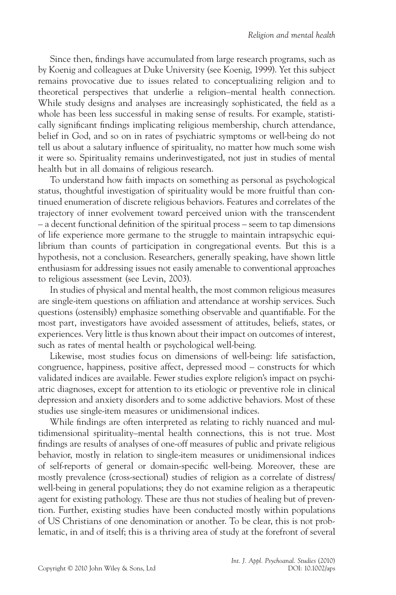Since then, findings have accumulated from large research programs, such as by Koenig and colleagues at Duke University (see Koenig, 1999). Yet this subject remains provocative due to issues related to conceptualizing religion and to theoretical perspectives that underlie a religion–mental health connection. While study designs and analyses are increasingly sophisticated, the field as a whole has been less successful in making sense of results. For example, statistically significant findings implicating religious membership, church attendance, belief in God, and so on in rates of psychiatric symptoms or well-being do not tell us about a salutary influence of spirituality, no matter how much some wish it were so. Spirituality remains underinvestigated, not just in studies of mental health but in all domains of religious research.

To understand how faith impacts on something as personal as psychological status, thoughtful investigation of spirituality would be more fruitful than continued enumeration of discrete religious behaviors. Features and correlates of the trajectory of inner evolvement toward perceived union with the transcendent – a decent functional definition of the spiritual process – seem to tap dimensions of life experience more germane to the struggle to maintain intrapsychic equilibrium than counts of participation in congregational events. But this is a hypothesis, not a conclusion. Researchers, generally speaking, have shown little enthusiasm for addressing issues not easily amenable to conventional approaches to religious assessment (see Levin, 2003).

In studies of physical and mental health, the most common religious measures are single-item questions on affiliation and attendance at worship services. Such questions (ostensibly) emphasize something observable and quantifiable. For the most part, investigators have avoided assessment of attitudes, beliefs, states, or experiences. Very little is thus known about their impact on outcomes of interest, such as rates of mental health or psychological well-being.

Likewise, most studies focus on dimensions of well-being: life satisfaction, congruence, happiness, positive affect, depressed mood – constructs for which validated indices are available. Fewer studies explore religion's impact on psychiatric diagnoses, except for attention to its etiologic or preventive role in clinical depression and anxiety disorders and to some addictive behaviors. Most of these studies use single-item measures or unidimensional indices.

While findings are often interpreted as relating to richly nuanced and multidimensional spirituality–mental health connections, this is not true. Most findings are results of analyses of one-off measures of public and private religious behavior, mostly in relation to single-item measures or unidimensional indices of self-reports of general or domain-specific well-being. Moreover, these are mostly prevalence (cross-sectional) studies of religion as a correlate of distress/ well-being in general populations; they do not examine religion as a therapeutic agent for existing pathology. These are thus not studies of healing but of prevention. Further, existing studies have been conducted mostly within populations of US Christians of one denomination or another. To be clear, this is not problematic, in and of itself; this is a thriving area of study at the forefront of several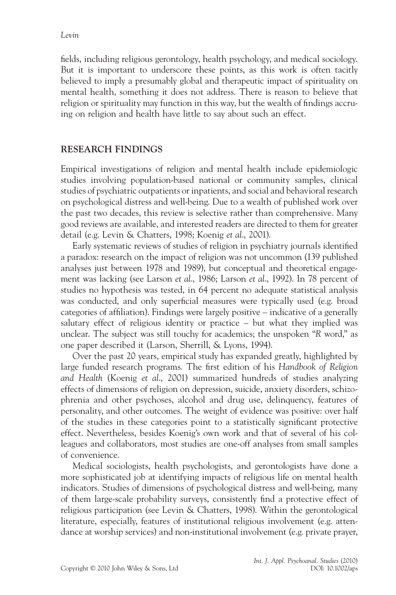fields, including religious gerontology, health psychology, and medical sociology. But it is important to underscore these points, as this work is often tacitly believed to imply a presumably global and therapeutic impact of spirituality on mental health, something it does not address. There is reason to believe that religion or spirituality may function in this way, but the wealth of findings accruing on religion and health have little to say about such an effect.

#### **RESEARCH FINDINGS**

Empirical investigations of religion and mental health include epidemiologic studies involving population-based national or community samples, clinical studies of psychiatric outpatients or inpatients, and social and behavioral research on psychological distress and well-being. Due to a wealth of published work over the past two decades, this review is selective rather than comprehensive. Many good reviews are available, and interested readers are directed to them for greater detail (e.g. Levin & Chatters, 1998; Koenig *et al*., 2001).

Early systematic reviews of studies of religion in psychiatry journals identified a paradox: research on the impact of religion was not uncommon (139 published analyses just between 1978 and 1989), but conceptual and theoretical engagement was lacking (see Larson *et al*., 1986; Larson *et al*., 1992). In 78 percent of studies no hypothesis was tested, in 64 percent no adequate statistical analysis was conducted, and only superficial measures were typically used (e.g. broad categories of affiliation). Findings were largely positive – indicative of a generally salutary effect of religious identity or practice – but what they implied was unclear. The subject was still touchy for academics; the unspoken "*R* word," as one paper described it (Larson, Sherrill, & Lyons, 1994).

Over the past 20 years, empirical study has expanded greatly, highlighted by large funded research programs. The first edition of his *Handbook of Religion and Health* (Koenig *et al*., 2001) summarized hundreds of studies analyzing effects of dimensions of religion on depression, suicide, anxiety disorders, schizophrenia and other psychoses, alcohol and drug use, delinquency, features of personality, and other outcomes. The weight of evidence was positive: over half of the studies in these categories point to a statistically significant protective effect. Nevertheless, besides Koenig's own work and that of several of his colleagues and collaborators, most studies are one-off analyses from small samples of convenience.

Medical sociologists, health psychologists, and gerontologists have done a more sophisticated job at identifying impacts of religious life on mental health indicators. Studies of dimensions of psychological distress and well-being, many of them large-scale probability surveys, consistently find a protective effect of religious participation (see Levin & Chatters, 1998). Within the gerontological literature, especially, features of institutional religious involvement (e.g. attendance at worship services) and non-institutional involvement (e.g. private prayer,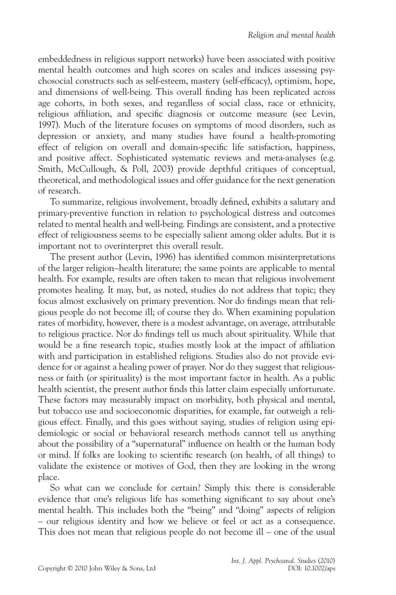embeddedness in religious support networks) have been associated with positive mental health outcomes and high scores on scales and indices assessing psychosocial constructs such as self-esteem, mastery (self-efficacy), optimism, hope, and dimensions of well-being. This overall finding has been replicated across age cohorts, in both sexes, and regardless of social class, race or ethnicity, religious affiliation, and specific diagnosis or outcome measure (see Levin, 1997). Much of the literature focuses on symptoms of mood disorders, such as depression or anxiety, and many studies have found a health-promoting effect of religion on overall and domain-specific life satisfaction, happiness, and positive affect. Sophisticated systematic reviews and meta-analyses (e.g. Smith, McCullough, & Poll, 2003) provide depthful critiques of conceptual, theoretical, and methodological issues and offer guidance for the next generation of research.

To summarize, religious involvement, broadly defined, exhibits a salutary and primary-preventive function in relation to psychological distress and outcomes related to mental health and well-being. Findings are consistent, and a protective effect of religiousness seems to be especially salient among older adults. But it is important not to overinterpret this overall result.

The present author (Levin, 1996) has identified common misinterpretations of the larger religion–health literature; the same points are applicable to mental health. For example, results are often taken to mean that religious involvement promotes healing. It may, but, as noted, studies do not address that topic; they focus almost exclusively on primary prevention. Nor do findings mean that religious people do not become ill; of course they do. When examining population rates of morbidity, however, there is a modest advantage, on average, attributable to religious practice. Nor do findings tell us much about spirituality. While that would be a fine research topic, studies mostly look at the impact of affiliation with and participation in established religions. Studies also do not provide evidence for or against a healing power of prayer. Nor do they suggest that religiousness or faith (or spirituality) is the most important factor in health. As a public health scientist, the present author finds this latter claim especially unfortunate. These factors may measurably impact on morbidity, both physical and mental, but tobacco use and socioeconomic disparities, for example, far outweigh a religious effect. Finally, and this goes without saying, studies of religion using epidemiologic or social or behavioral research methods cannot tell us anything about the possibility of a "supernatural" influence on health or the human body or mind. If folks are looking to scientific research (on health, of all things) to validate the existence or motives of God, then they are looking in the wrong place.

So what can we conclude for certain? Simply this: there is considerable evidence that one's religious life has something significant to say about one's mental health. This includes both the "being" and "doing" aspects of religion – our religious identity and how we believe or feel or act as a consequence. This does not mean that religious people do not become ill – one of the usual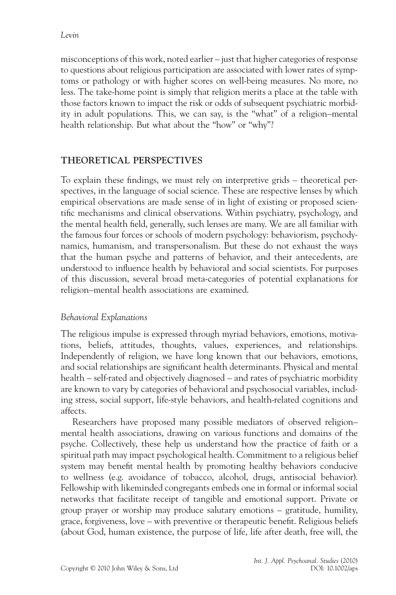misconceptions of this work, noted earlier – just that higher categories of response to questions about religious participation are associated with lower rates of symptoms or pathology or with higher scores on well-being measures. No more, no less. The take-home point is simply that religion merits a place at the table with those factors known to impact the risk or odds of subsequent psychiatric morbidity in adult populations. This, we can say, is the "what" of a religion–mental health relationship. But what about the "how" or "why"?

#### **THEORETICAL PERSPECTIVES**

To explain these findings, we must rely on interpretive grids – theoretical perspectives, in the language of social science. These are respective lenses by which empirical observations are made sense of in light of existing or proposed scientific mechanisms and clinical observations. Within psychiatry, psychology, and the mental health field, generally, such lenses are many. We are all familiar with the famous four forces or schools of modern psychology: behaviorism, psychodynamics, humanism, and transpersonalism. But these do not exhaust the ways that the human psyche and patterns of behavior, and their antecedents, are understood to influence health by behavioral and social scientists. For purposes of this discussion, several broad meta-categories of potential explanations for religion–mental health associations are examined.

#### *Behavioral Explanations*

The religious impulse is expressed through myriad behaviors, emotions, motivations, beliefs, attitudes, thoughts, values, experiences, and relationships. Independently of religion, we have long known that our behaviors, emotions, and social relationships are significant health determinants. Physical and mental health – self-rated and objectively diagnosed – and rates of psychiatric morbidity are known to vary by categories of behavioral and psychosocial variables, including stress, social support, life-style behaviors, and health-related cognitions and affects.

Researchers have proposed many possible mediators of observed religion– mental health associations, drawing on various functions and domains of the psyche. Collectively, these help us understand how the practice of faith or a spiritual path may impact psychological health. Commitment to a religious belief system may benefit mental health by promoting healthy behaviors conducive to wellness (e.g. avoidance of tobacco, alcohol, drugs, antisocial behavior). Fellowship with likeminded congregants embeds one in formal or informal social networks that facilitate receipt of tangible and emotional support. Private or group prayer or worship may produce salutary emotions – gratitude, humility, grace, forgiveness, love – with preventive or therapeutic benefit. Religious beliefs (about God, human existence, the purpose of life, life after death, free will, the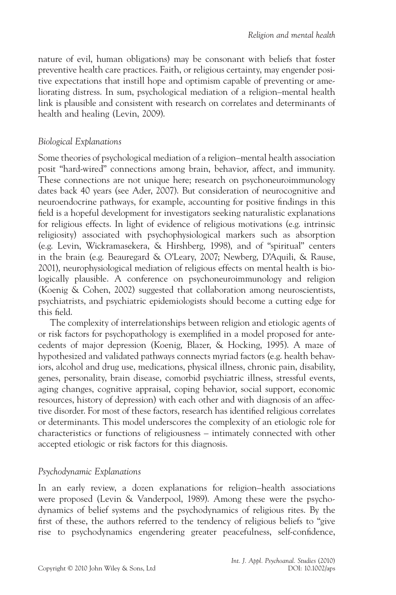nature of evil, human obligations) may be consonant with beliefs that foster preventive health care practices. Faith, or religious certainty, may engender positive expectations that instill hope and optimism capable of preventing or ameliorating distress. In sum, psychological mediation of a religion–mental health link is plausible and consistent with research on correlates and determinants of health and healing (Levin, 2009).

## *Biological Explanations*

Some theories of psychological mediation of a religion–mental health association posit "hard-wired" connections among brain, behavior, affect, and immunity. These connections are not unique here; research on psychoneuroimmunology dates back 40 years (see Ader, 2007). But consideration of neurocognitive and neuroendocrine pathways, for example, accounting for positive findings in this field is a hopeful development for investigators seeking naturalistic explanations for religious effects. In light of evidence of religious motivations (e.g. intrinsic religiosity) associated with psychophysiological markers such as absorption (e.g. Levin, Wickramasekera, & Hirshberg, 1998), and of "spiritual" centers in the brain (e.g. Beauregard & O'Leary, 2007; Newberg, D'Aquili, & Rause, 2001), neurophysiological mediation of religious effects on mental health is biologically plausible. A conference on psychoneuroimmunology and religion (Koenig & Cohen, 2002) suggested that collaboration among neuroscientists, psychiatrists, and psychiatric epidemiologists should become a cutting edge for this field.

The complexity of interrelationships between religion and etiologic agents of or risk factors for psychopathology is exemplified in a model proposed for antecedents of major depression (Koenig, Blazer, & Hocking, 1995). A maze of hypothesized and validated pathways connects myriad factors (e.g. health behaviors, alcohol and drug use, medications, physical illness, chronic pain, disability, genes, personality, brain disease, comorbid psychiatric illness, stressful events, aging changes, cognitive appraisal, coping behavior, social support, economic resources, history of depression) with each other and with diagnosis of an affective disorder. For most of these factors, research has identified religious correlates or determinants. This model underscores the complexity of an etiologic role for characteristics or functions of religiousness – intimately connected with other accepted etiologic or risk factors for this diagnosis.

# *Psychodynamic Explanations*

In an early review, a dozen explanations for religion–health associations were proposed (Levin & Vanderpool, 1989). Among these were the psychodynamics of belief systems and the psychodynamics of religious rites. By the first of these, the authors referred to the tendency of religious beliefs to "give" rise to psychodynamics engendering greater peacefulness, self-confidence,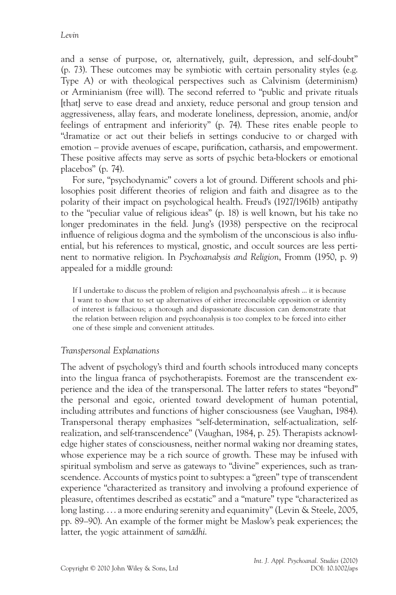and a sense of purpose, or, alternatively, guilt, depression, and self-doubt" (p. 73). These outcomes may be symbiotic with certain personality styles (e.g. Type A) or with theological perspectives such as Calvinism (determinism) or Arminianism (free will). The second referred to "public and private rituals [that] serve to ease dread and anxiety, reduce personal and group tension and aggressiveness, allay fears, and moderate loneliness, depression, anomie, and/or feelings of entrapment and inferiority" (p. 74). These rites enable people to "dramatize or act out their beliefs in settings conducive to or charged with emotion – provide avenues of escape, purification, catharsis, and empowerment. These positive affects may serve as sorts of psychic beta-blockers or emotional placebos" (p. 74).

For sure, "psychodynamic" covers a lot of ground. Different schools and philosophies posit different theories of religion and faith and disagree as to the polarity of their impact on psychological health. Freud's (1927/1961b) antipathy to the "peculiar value of religious ideas" (p. 18) is well known, but his take no longer predominates in the field. Jung's (1938) perspective on the reciprocal influence of religious dogma and the symbolism of the unconscious is also influential, but his references to mystical, gnostic, and occult sources are less pertinent to normative religion. In *Psychoanalysis and Religion*, Fromm (1950, p. 9) appealed for a middle ground:

If I undertake to discuss the problem of religion and psychoanalysis afresh ... it is because I want to show that to set up alternatives of either irreconcilable opposition or identity of interest is fallacious; a thorough and dispassionate discussion can demonstrate that the relation between religion and psychoanalysis is too complex to be forced into either one of these simple and convenient attitudes.

#### *Transpersonal Explanations*

The advent of psychology's third and fourth schools introduced many concepts into the lingua franca of psychotherapists. Foremost are the transcendent experience and the idea of the transpersonal. The latter refers to states "beyond" the personal and egoic, oriented toward development of human potential, including attributes and functions of higher consciousness (see Vaughan, 1984). Transpersonal therapy emphasizes "self-determination, self-actualization, selfrealization, and self-transcendence" (Vaughan, 1984, p. 25). Therapists acknowledge higher states of consciousness, neither normal waking nor dreaming states, whose experience may be a rich source of growth. These may be infused with spiritual symbolism and serve as gateways to "divine" experiences, such as transcendence. Accounts of mystics point to subtypes: a "green" type of transcendent experience "characterized as transitory and involving a profound experience of pleasure, oftentimes described as ecstatic" and a "mature" type "characterized as long lasting. . . . a more enduring serenity and equanimity" (Levin & Steele, 2005, pp. 89–90). An example of the former might be Maslow's peak experiences; the latter, the yogic attainment of *samādhi*.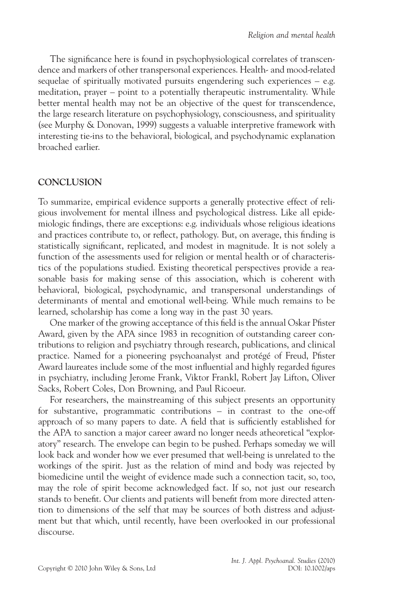The significance here is found in psychophysiological correlates of transcendence and markers of other transpersonal experiences. Health- and mood-related sequelae of spiritually motivated pursuits engendering such experiences – e.g. meditation, prayer – point to a potentially therapeutic instrumentality. While better mental health may not be an objective of the quest for transcendence, the large research literature on psychophysiology, consciousness, and spirituality (see Murphy & Donovan, 1999) suggests a valuable interpretive framework with interesting tie-ins to the behavioral, biological, and psychodynamic explanation broached earlier.

#### **CONCLUSION**

To summarize, empirical evidence supports a generally protective effect of religious involvement for mental illness and psychological distress. Like all epidemiologic findings, there are exceptions: e.g. individuals whose religious ideations and practices contribute to, or reflect, pathology. But, on average, this finding is statistically significant, replicated, and modest in magnitude. It is not solely a function of the assessments used for religion or mental health or of characteristics of the populations studied. Existing theoretical perspectives provide a reasonable basis for making sense of this association, which is coherent with behavioral, biological, psychodynamic, and transpersonal understandings of determinants of mental and emotional well-being. While much remains to be learned, scholarship has come a long way in the past 30 years.

One marker of the growing acceptance of this field is the annual Oskar Pfister Award, given by the APA since 1983 in recognition of outstanding career contributions to religion and psychiatry through research, publications, and clinical practice. Named for a pioneering psychoanalyst and protégé of Freud, Pfister Award laureates include some of the most influential and highly regarded figures in psychiatry, including Jerome Frank, Viktor Frankl, Robert Jay Lifton, Oliver Sacks, Robert Coles, Don Browning, and Paul Ricoeur.

For researchers, the mainstreaming of this subject presents an opportunity for substantive, programmatic contributions – in contrast to the one-off approach of so many papers to date. A field that is sufficiently established for the APA to sanction a major career award no longer needs atheoretical "exploratory" research. The envelope can begin to be pushed. Perhaps someday we will look back and wonder how we ever presumed that well-being is unrelated to the workings of the spirit. Just as the relation of mind and body was rejected by biomedicine until the weight of evidence made such a connection tacit, so, too, may the role of spirit become acknowledged fact. If so, not just our research stands to benefit. Our clients and patients will benefit from more directed attention to dimensions of the self that may be sources of both distress and adjustment but that which, until recently, have been overlooked in our professional discourse.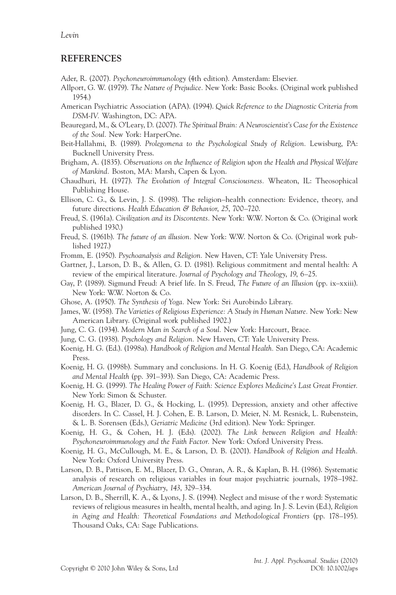#### *Levin*

#### **REFERENCES**

- Ader, R. (2007). *Psychoneuroimmunology* (4th edition). Amsterdam: Elsevier.
- Allport, G. W. (1979). *The Nature of Prejudice.* New York: Basic Books. (Original work published 1954.)
- American Psychiatric Association (APA). (1994). *Quick Reference to the Diagnostic Criteria from DSM-IV.* Washington, DC: APA.
- Beauregard, M., & O'Leary, D. (2007). *The Spiritual Brain: A Neuroscientist's Case for the Existence of the Soul.* New York: HarperOne.
- Beit-Hallahmi, B. (1989). *Prolegomena to the Psychological Study of Religion.* Lewisburg, PA: Bucknell University Press.
- Brigham, A. (1835). Observations on the Influence of Religion upon the Health and Physical Welfare *of Mankind.* Boston, MA: Marsh, Capen & Lyon.
- Chaudhuri, H. (1977). *The Evolution of Integral Consciousness.* Wheaton, IL: Theosophical Publishing House.
- Ellison, C. G., & Levin, J. S. (1998). The religion–health connection: Evidence, theory, and future directions. *Health Education & Behavior*, *25*, 700–720.
- Freud, S. (1961a). *Civilization and its Discontents.* New York: W.W. Norton & Co. (Original work published 1930.)
- Freud, S. (1961b). *The future of an illusion.* New York: W.W. Norton & Co. (Original work published 1927.)
- Fromm, E. (1950). *Psychoanalysis and Religion.* New Haven, CT: Yale University Press.
- Gartner, J., Larson, D. B., & Allen, G. D. (1981). Religious commitment and mental health: A review of the empirical literature. *Journal of Psychology and Theology*, *19*, 6–25.
- Gay, P. (1989). Sigmund Freud: A brief life. In S. Freud, *The Future of an Illusion* (pp. ix–xxiii). New York: W.W. Norton & Co.
- Ghose, A. (1950). *The Synthesis of Yoga.* New York: Sri Aurobindo Library.
- James, W. (1958). *The Varieties of Religious Experience: A Study in Human Nature.* New York: New American Library. (Original work published 1902.)
- Jung, C. G. (1934). *Modern Man in Search of a Soul.* New York: Harcourt, Brace.
- Jung, C. G. (1938). *Psychology and Religion.* New Haven, CT: Yale University Press.
- Koenig, H. G. (Ed.). (1998a). *Handbook of Religion and Mental Health.* San Diego, CA: Academic Press.
- Koenig, H. G. (1998b). Summary and conclusions. In H. G. Koenig (Ed.), *Handbook of Religion and Mental Health* (pp. 391–393). San Diego, CA: Academic Press.
- Koenig, H. G. (1999). *The Healing Power of Faith: Science Explores Medicine's Last Great Frontier.* New York: Simon & Schuster.
- Koenig, H. G., Blazer, D. G., & Hocking, L. (1995). Depression, anxiety and other affective disorders. In C. Cassel, H. J. Cohen, E. B. Larson, D. Meier, N. M. Resnick, L. Rubenstein, & L. B. Sorensen (Eds.), *Geriatric Medicine* (3rd edition). New York: Springer.
- Koenig, H. G., & Cohen, H. J. (Eds). (2002). *The Link between Religion and Health: Psychoneuroimmunology and the Faith Factor.* New York: Oxford University Press.
- Koenig, H. G., McCullough, M. E., & Larson, D. B. (2001). *Handbook of Religion and Health.* New York: Oxford University Press.
- Larson, D. B., Pattison, E. M., Blazer, D. G., Omran, A. R., & Kaplan, B. H. (1986). Systematic analysis of research on religious variables in four major psychiatric journals, 1978–1982. *American Journal of Psychiatry*, *143*, 329–334.
- Larson, D. B., Sherrill, K. A., & Lyons, J. S. (1994). Neglect and misuse of the *r* word: Systematic reviews of religious measures in health, mental health, and aging. In J. S. Levin (Ed.), *Religion in Aging and Health: Theoretical Foundations and Methodological Frontiers* (pp. 178–195). Thousand Oaks, CA: Sage Publications.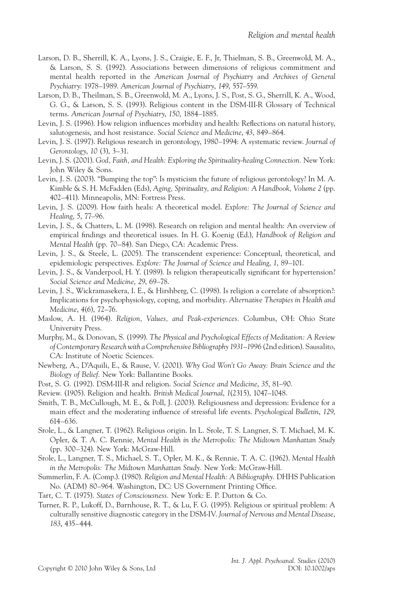- Larson, D. B., Sherrill, K. A., Lyons, J. S., Craigie, E. F., Jr, Thielman, S. B., Greenwold, M. A., & Larson, S. S. (1992). Associations between dimensions of religious commitment and mental health reported in the *American Journal of Psychiatry* and *Archives of General Psychiatry*: 1978–1989. *American Journal of Psychiatry*, *149*, 557–559.
- Larson, D. B., Theilman, S. B., Greenwold, M. A., Lyons, J. S., Post, S. G., Sherrill, K. A., Wood, G. G., & Larson, S. S. (1993). Religious content in the DSM-III-R Glossary of Technical terms. *American Journal of Psychiatry*, *150*, 1884–1885.
- Levin, J. S. (1996). How religion influences morbidity and health: Reflections on natural history, salutogenesis, and host resistance. *Social Science and Medicine*, *43*, 849–864.
- Levin, J. S. (1997). Religious research in gerontology, 1980–1994: A systematic review. *Journal of Gerontology*, *10* (3), 3–31.
- Levin, J. S. (2001). *God, Faith, and Health: Exploring the Spirituality-healing Connection.* New York: John Wiley & Sons.
- Levin, J. S. (2003). "Bumping the top": Is mysticism the future of religious gerontology? In M. A. Kimble & S. H. McFadden (Eds), *Aging, Spirituality, and Religion: A Handbook, Volume 2* (pp. 402–411). Minneapolis, MN: Fortress Press.
- Levin, J. S. (2009). How faith heals: A theoretical model. *Explore: The Journal of Science and Healing*, *5*, 77–96.
- Levin, J. S., & Chatters, L. M. (1998). Research on religion and mental health: An overview of empirical fi ndings and theoretical issues. In H. G. Koenig (Ed.), *Handbook of Religion and Mental Health* (pp. 70–84). San Diego, CA: Academic Press.
- Levin, J. S., & Steele, L. (2005). The transcendent experience: Conceptual, theoretical, and epidemiologic perspectives. *Explore: The Journal of Science and Healing*, *1*, 89–101.
- Levin, J. S., & Vanderpool, H. Y. (1989). Is religion therapeutically significant for hypertension? *Social Science and Medicine*, *29*, 69–78.
- Levin, J. S., Wickramasekera, I. E., & Hirshberg, C. (1998). Is religion a correlate of absorption?: Implications for psychophysiology, coping, and morbidity. *Alternative Therapies in Health and Medicine*, *4*(6), 72–76.
- Maslow, A. H. (1964). *Religion, Values, and Peak-experiences.* Columbus, OH: Ohio State University Press.
- Murphy, M., & Donovan, S. (1999). *The Physical and Psychological Effects of Meditation: A Review of Contemporary Research with a Comprehensive Bibliography 1931–1996* (2nd edition). Sausalito, CA: Institute of Noetic Sciences.
- Newberg, A., D'Aquili, E., & Rause, V. (2001). *Why God Won't Go Away: Brain Science and the Biology of Belief.* New York: Ballantine Books.
- Post, S. G. (1992). DSM-III-R and religion. *Social Science and Medicine*, *35*, 81–90.
- Review. (1905). Religion and health. *British Medical Journal*, *1*(2315), 1047–1048.
- Smith, T. B., McCullough, M. E., & Poll, J. (2003). Religiousness and depression: Evidence for a main effect and the moderating influence of stressful life events. *Psychological Bulletin*, 129, 614–636.
- Srole, L., & Langner, T. (1962). Religious origin. In L. Srole, T. S. Langner, S. T. Michael, M. K. Opler, & T. A. C. Rennie, *Mental Health in the Metropolis: The Midtown Manhattan Study* (pp. 300–324). New York: McGraw-Hill.
- Srole, L., Langner, T. S., Michael, S. T., Opler, M. K., & Rennie, T. A. C. (1962). *Mental Health in the Metropolis: The Midtown Manhattan Study.* New York: McGraw-Hill.
- Summerlin, F. A. (Comp.). (1980). *Religion and Mental Health: A Bibliography.* DHHS Publication No. (ADM) 80-964. Washington, DC: US Government Printing Office.
- Tart, C. T. (1975). *States of Consciousness.* New York: E. P. Dutton & Co.
- Turner, R. P., Lukoff, D., Barnhouse, R. T., & Lu, F. G. (1995). Religious or spiritual problem: A culturally sensitive diagnostic category in the DSM-IV. *Journal of Nervous and Mental Disease*, *183*, 435–444.